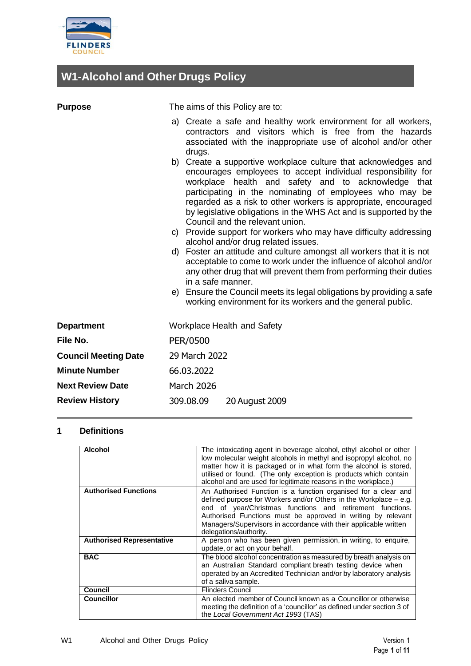

# **W1-Alcohol and Other Drugs Policy**

| <b>Purpose</b>              | The aims of this Policy are to:                                                                                                                                                                                                                                                                                                                                                                                                                                                                                                                                                                                                                                                                                                                                                                                                                                                                                       |  |  |
|-----------------------------|-----------------------------------------------------------------------------------------------------------------------------------------------------------------------------------------------------------------------------------------------------------------------------------------------------------------------------------------------------------------------------------------------------------------------------------------------------------------------------------------------------------------------------------------------------------------------------------------------------------------------------------------------------------------------------------------------------------------------------------------------------------------------------------------------------------------------------------------------------------------------------------------------------------------------|--|--|
|                             | a) Create a safe and healthy work environment for all workers,<br>contractors and visitors which is free from the hazards<br>associated with the inappropriate use of alcohol and/or other<br>drugs.                                                                                                                                                                                                                                                                                                                                                                                                                                                                                                                                                                                                                                                                                                                  |  |  |
|                             | b) Create a supportive workplace culture that acknowledges and<br>encourages employees to accept individual responsibility for<br>workplace health and safety and to acknowledge that<br>participating in the nominating of employees who may be<br>regarded as a risk to other workers is appropriate, encouraged<br>by legislative obligations in the WHS Act and is supported by the<br>Council and the relevant union.<br>c) Provide support for workers who may have difficulty addressing<br>alcohol and/or drug related issues.<br>d) Foster an attitude and culture amongst all workers that it is not<br>acceptable to come to work under the influence of alcohol and/or<br>any other drug that will prevent them from performing their duties<br>in a safe manner.<br>e) Ensure the Council meets its legal obligations by providing a safe<br>working environment for its workers and the general public. |  |  |
| <b>Department</b>           | Workplace Health and Safety                                                                                                                                                                                                                                                                                                                                                                                                                                                                                                                                                                                                                                                                                                                                                                                                                                                                                           |  |  |
| File No.                    | PER/0500                                                                                                                                                                                                                                                                                                                                                                                                                                                                                                                                                                                                                                                                                                                                                                                                                                                                                                              |  |  |
| <b>Council Meeting Date</b> | 29 March 2022                                                                                                                                                                                                                                                                                                                                                                                                                                                                                                                                                                                                                                                                                                                                                                                                                                                                                                         |  |  |
| <b>Minute Number</b>        | 66.03.2022                                                                                                                                                                                                                                                                                                                                                                                                                                                                                                                                                                                                                                                                                                                                                                                                                                                                                                            |  |  |
| <b>Next Review Date</b>     | <b>March 2026</b>                                                                                                                                                                                                                                                                                                                                                                                                                                                                                                                                                                                                                                                                                                                                                                                                                                                                                                     |  |  |
| <b>Review History</b>       | 309.08.09<br>20 August 2009                                                                                                                                                                                                                                                                                                                                                                                                                                                                                                                                                                                                                                                                                                                                                                                                                                                                                           |  |  |

# **1 Definitions**

| <b>Alcohol</b>                   | The intoxicating agent in beverage alcohol, ethyl alcohol or other<br>low molecular weight alcohols in methyl and isopropyl alcohol, no<br>matter how it is packaged or in what form the alcohol is stored,<br>utilised or found. (The only exception is products which contain<br>alcohol and are used for legitimate reasons in the workplace.)                |
|----------------------------------|------------------------------------------------------------------------------------------------------------------------------------------------------------------------------------------------------------------------------------------------------------------------------------------------------------------------------------------------------------------|
| <b>Authorised Functions</b>      | An Authorised Function is a function organised for a clear and<br>defined purpose for Workers and/or Others in the Workplace $-$ e.g.<br>end of year/Christmas functions and retirement functions.<br>Authorised Functions must be approved in writing by relevant<br>Managers/Supervisors in accordance with their applicable written<br>delegations/authority. |
| <b>Authorised Representative</b> | A person who has been given permission, in writing, to enguire,<br>update, or act on your behalf.                                                                                                                                                                                                                                                                |
| <b>BAC</b>                       | The blood alcohol concentration as measured by breath analysis on<br>an Australian Standard compliant breath testing device when<br>operated by an Accredited Technician and/or by laboratory analysis<br>of a saliva sample.                                                                                                                                    |
| Council                          | <b>Flinders Council</b>                                                                                                                                                                                                                                                                                                                                          |
| <b>Councillor</b>                | An elected member of Council known as a Councillor or otherwise<br>meeting the definition of a 'councillor' as defined under section 3 of<br>the Local Government Act 1993 (TAS)                                                                                                                                                                                 |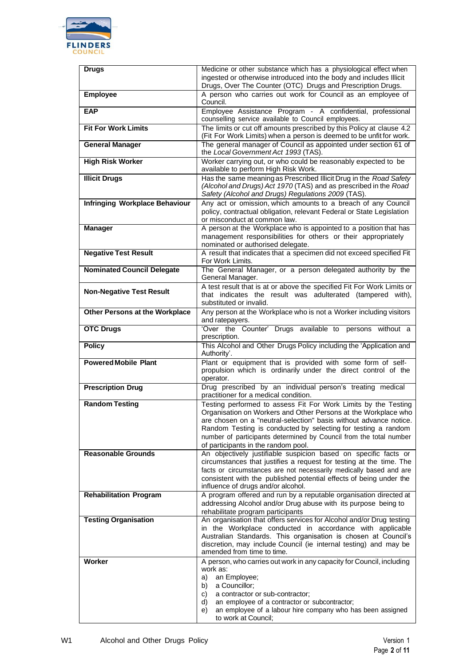

| <b>Drugs</b>                          | Medicine or other substance which has a physiological effect when                                                                                                                                                                                                                                                                                                                   |
|---------------------------------------|-------------------------------------------------------------------------------------------------------------------------------------------------------------------------------------------------------------------------------------------------------------------------------------------------------------------------------------------------------------------------------------|
|                                       | ingested or otherwise introduced into the body and includes Illicit<br>Drugs, Over The Counter (OTC) Drugs and Prescription Drugs.                                                                                                                                                                                                                                                  |
| <b>Employee</b>                       | A person who carries out work for Council as an employee of<br>Council.                                                                                                                                                                                                                                                                                                             |
| <b>EAP</b>                            | Employee Assistance Program - A confidential, professional<br>counselling service available to Council employees.                                                                                                                                                                                                                                                                   |
| <b>Fit For Work Limits</b>            | The limits or cut off amounts prescribed by this Policy at clause 4.2<br>(Fit For Work Limits) when a person is deemed to be unfit for work.                                                                                                                                                                                                                                        |
| <b>General Manager</b>                | The general manager of Council as appointed under section 61 of<br>the Local Government Act 1993 (TAS).                                                                                                                                                                                                                                                                             |
| <b>High Risk Worker</b>               | Worker carrying out, or who could be reasonably expected to be<br>available to perform High Risk Work.                                                                                                                                                                                                                                                                              |
| <b>Illicit Drugs</b>                  | Has the same meaning as Prescribed Illicit Drug in the Road Safety<br>(Alcohol and Drugs) Act 1970 (TAS) and as prescribed in the Road<br>Safety (Alcohol and Drugs) Regulations 2009 (TAS).                                                                                                                                                                                        |
| <b>Infringing Workplace Behaviour</b> | Any act or omission, which amounts to a breach of any Council<br>policy, contractual obligation, relevant Federal or State Legislation<br>or misconduct at common law.                                                                                                                                                                                                              |
| <b>Manager</b>                        | A person at the Workplace who is appointed to a position that has<br>management responsibilities for others or their appropriately<br>nominated or authorised delegate.                                                                                                                                                                                                             |
| <b>Negative Test Result</b>           | A result that indicates that a specimen did not exceed specified Fit<br>For Work Limits.                                                                                                                                                                                                                                                                                            |
| <b>Nominated Council Delegate</b>     | The General Manager, or a person delegated authority by the<br>General Manager.                                                                                                                                                                                                                                                                                                     |
| <b>Non-Negative Test Result</b>       | A test result that is at or above the specified Fit For Work Limits or<br>that indicates the result was adulterated (tampered with),<br>substituted or invalid.                                                                                                                                                                                                                     |
| Other Persons at the Workplace        | Any person at the Workplace who is not a Worker including visitors<br>and ratepayers.                                                                                                                                                                                                                                                                                               |
| <b>OTC Drugs</b>                      | 'Over the Counter' Drugs available to persons without a<br>prescription.                                                                                                                                                                                                                                                                                                            |
| <b>Policy</b>                         | This Alcohol and Other Drugs Policy including the 'Application and<br>Authority'.                                                                                                                                                                                                                                                                                                   |
| <b>Powered Mobile Plant</b>           | Plant or equipment that is provided with some form of self-<br>propulsion which is ordinarily under the direct control of the<br>operator.                                                                                                                                                                                                                                          |
| <b>Prescription Drug</b>              | Drug prescribed by an individual person's treating medical<br>practitioner for a medical condition.                                                                                                                                                                                                                                                                                 |
| <b>Random Testing</b>                 | Testing performed to assess Fit For Work Limits by the Testing<br>Organisation on Workers and Other Persons at the Workplace who<br>are chosen on a "neutral-selection" basis without advance notice.<br>Random Testing is conducted by selecting for testing a random<br>number of participants determined by Council from the total number<br>of participants in the random pool. |
| <b>Reasonable Grounds</b>             | An objectively justifiable suspicion based on specific facts or<br>circumstances that justifies a request for testing at the time. The<br>facts or circumstances are not necessarily medically based and are                                                                                                                                                                        |
|                                       | consistent with the published potential effects of being under the<br>influence of drugs and/or alcohol.                                                                                                                                                                                                                                                                            |
| <b>Rehabilitation Program</b>         | A program offered and run by a reputable organisation directed at<br>addressing Alcohol and/or Drug abuse with its purpose being to<br>rehabilitate program participants                                                                                                                                                                                                            |
| <b>Testing Organisation</b>           | An organisation that offers services for Alcohol and/or Drug testing<br>in the Workplace conducted in accordance with applicable<br>Australian Standards. This organisation is chosen at Council's<br>discretion, may include Council (ie internal testing) and may be<br>amended from time to time.                                                                                |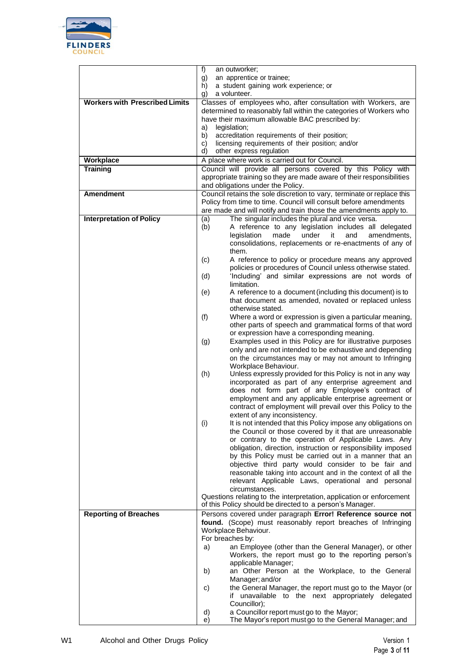

|                                       | f)<br>an outworker;                                                                                                                  |
|---------------------------------------|--------------------------------------------------------------------------------------------------------------------------------------|
|                                       | an apprentice or trainee;<br>g)                                                                                                      |
|                                       | a student gaining work experience; or<br>h)                                                                                          |
|                                       | a volunteer.<br>g)                                                                                                                   |
| <b>Workers with Prescribed Limits</b> | Classes of employees who, after consultation with Workers, are<br>determined to reasonably fall within the categories of Workers who |
|                                       | have their maximum allowable BAC prescribed by:                                                                                      |
|                                       | legislation;<br>a)                                                                                                                   |
|                                       | b)<br>accreditation requirements of their position;                                                                                  |
|                                       | licensing requirements of their position; and/or<br>C)                                                                               |
|                                       | d)<br>other express regulation                                                                                                       |
| Workplace                             | A place where work is carried out for Council.                                                                                       |
| <b>Training</b>                       | Council will provide all persons covered by this Policy with                                                                         |
|                                       | appropriate training so they are made aware of their responsibilities<br>and obligations under the Policy.                           |
| <b>Amendment</b>                      | Council retains the sole discretion to vary, terminate or replace this                                                               |
|                                       | Policy from time to time. Council will consult before amendments                                                                     |
|                                       | are made and will notify and train those the amendments apply to.                                                                    |
| <b>Interpretation of Policy</b>       | (a)<br>The singular includes the plural and vice versa.                                                                              |
|                                       | (b)<br>A reference to any legislation includes all delegated                                                                         |
|                                       | under<br>legislation<br>made<br>it<br>and<br>amendments.<br>consolidations, replacements or re-enactments of any of                  |
|                                       | them.                                                                                                                                |
|                                       | A reference to policy or procedure means any approved<br>(c)                                                                         |
|                                       | policies or procedures of Council unless otherwise stated.                                                                           |
|                                       | 'Including' and similar expressions are not words of<br>(d)                                                                          |
|                                       | limitation.                                                                                                                          |
|                                       | (e)<br>A reference to a document (including this document) is to<br>that document as amended, novated or replaced unless             |
|                                       | otherwise stated.                                                                                                                    |
|                                       | (f)<br>Where a word or expression is given a particular meaning,                                                                     |
|                                       | other parts of speech and grammatical forms of that word                                                                             |
|                                       | or expression have a corresponding meaning.                                                                                          |
|                                       | Examples used in this Policy are for illustrative purposes<br>(g)                                                                    |
|                                       | only and are not intended to be exhaustive and depending                                                                             |
|                                       | on the circumstances may or may not amount to Infringing<br>Workplace Behaviour.                                                     |
|                                       | Unless expressly provided for this Policy is not in any way<br>(h)                                                                   |
|                                       | incorporated as part of any enterprise agreement and                                                                                 |
|                                       | does not form part of any Employee's contract of                                                                                     |
|                                       | employment and any applicable enterprise agreement or                                                                                |
|                                       | contract of employment will prevail over this Policy to the                                                                          |
|                                       | extent of any inconsistency.<br>It is not intended that this Policy impose any obligations on<br>(i)                                 |
|                                       | the Council or those covered by it that are unreasonable                                                                             |
|                                       | or contrary to the operation of Applicable Laws. Any                                                                                 |
|                                       | obligation, direction, instruction or responsibility imposed                                                                         |
|                                       | by this Policy must be carried out in a manner that an                                                                               |
|                                       | objective third party would consider to be fair and                                                                                  |
|                                       | reasonable taking into account and in the context of all the<br>relevant Applicable Laws, operational and personal                   |
|                                       | circumstances.                                                                                                                       |
|                                       | Questions relating to the interpretation, application or enforcement                                                                 |
|                                       | of this Policy should be directed to a person's Manager.                                                                             |
| <b>Reporting of Breaches</b>          | Persons covered under paragraph Error! Reference source not                                                                          |
|                                       | found. (Scope) must reasonably report breaches of Infringing                                                                         |
|                                       | Workplace Behaviour.                                                                                                                 |
|                                       | For breaches by:<br>an Employee (other than the General Manager), or other<br>a)                                                     |
|                                       | Workers, the report must go to the reporting person's                                                                                |
|                                       | applicable Manager;                                                                                                                  |
|                                       | an Other Person at the Workplace, to the General<br>b)                                                                               |
|                                       | Manager; and/or                                                                                                                      |
|                                       | the General Manager, the report must go to the Mayor (or<br>C)                                                                       |
|                                       | if unavailable to the next appropriately delegated                                                                                   |
|                                       | Councillor);<br>a Councillor report must go to the Mayor;<br>d)                                                                      |
|                                       | The Mayor's report must go to the General Manager; and<br>e)                                                                         |
|                                       |                                                                                                                                      |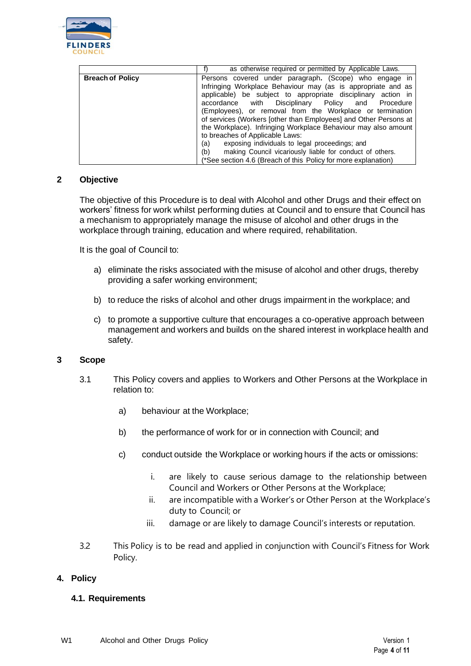

|                         | as otherwise required or permitted by Applicable Laws.           |
|-------------------------|------------------------------------------------------------------|
| <b>Breach of Policy</b> | Persons covered under paragraph. (Scope) who engage in           |
|                         | Infringing Workplace Behaviour may (as is appropriate and as     |
|                         | applicable) be subject to appropriate disciplinary action in     |
|                         | with Disciplinary Policy and Procedure<br>accordance             |
|                         | (Employees), or removal from the Workplace or termination        |
|                         | of services (Workers Jother than Employees) and Other Persons at |
|                         | the Workplace). Infringing Workplace Behaviour may also amount   |
|                         | to breaches of Applicable Laws:                                  |
|                         | exposing individuals to legal proceedings; and<br>(a)            |
|                         | making Council vicariously liable for conduct of others.<br>(b)  |
|                         | (*See section 4.6 (Breach of this Policy for more explanation)   |

### **2 Objective**

The objective of this Procedure is to deal with Alcohol and other Drugs and their effect on workers' fitness for work whilst performing duties at Council and to ensure that Council has a mechanism to appropriately manage the misuse of alcohol and other drugs in the workplace through training, education and where required, rehabilitation.

It is the goal of Council to:

- a) eliminate the risks associated with the misuse of alcohol and other drugs, thereby providing a safer working environment;
- b) to reduce the risks of alcohol and other drugs impairment in the workplace; and
- c) to promote a supportive culture that encourages a co-operative approach between management and workers and builds on the shared interest in workplace health and safety.

#### **3 Scope**

- 3.1 This Policy covers and applies to Workers and Other Persons at the Workplace in relation to:
	- a) behaviour at the Workplace;
	- b) the performance of work for or in connection with Council; and
	- c) conduct outside the Workplace or working hours if the acts or omissions:
		- i. are likely to cause serious damage to the relationship between Council and Workers or Other Persons at the Workplace;
		- ii. are incompatible with a Worker's or Other Person at the Workplace's duty to Council; or
		- iii. damage or are likely to damage Council's interests or reputation.
- 3.2 This Policy is to be read and applied in conjunction with Council's Fitness for Work Policy.

### **4. Policy**

### **4.1. Requirements**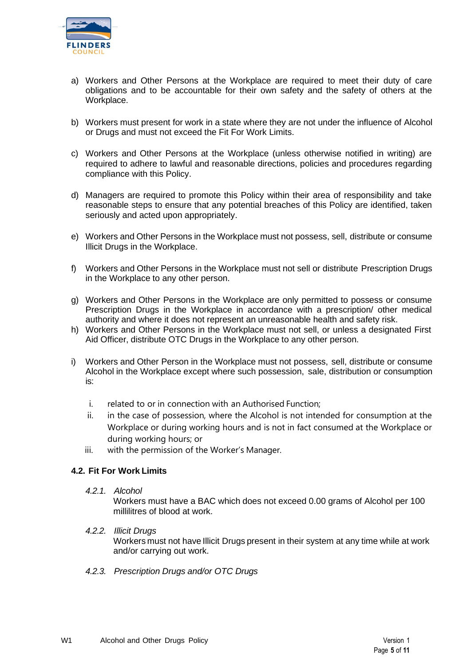

- a) Workers and Other Persons at the Workplace are required to meet their duty of care obligations and to be accountable for their own safety and the safety of others at the Workplace.
- b) Workers must present for work in a state where they are not under the influence of Alcohol or Drugs and must not exceed the Fit For Work Limits.
- c) Workers and Other Persons at the Workplace (unless otherwise notified in writing) are required to adhere to lawful and reasonable directions, policies and procedures regarding compliance with this Policy.
- d) Managers are required to promote this Policy within their area of responsibility and take reasonable steps to ensure that any potential breaches of this Policy are identified, taken seriously and acted upon appropriately.
- e) Workers and Other Persons in the Workplace must not possess, sell, distribute or consume Illicit Drugs in the Workplace.
- f) Workers and Other Persons in the Workplace must not sell or distribute Prescription Drugs in the Workplace to any other person.
- g) Workers and Other Persons in the Workplace are only permitted to possess or consume Prescription Drugs in the Workplace in accordance with a prescription/ other medical authority and where it does not represent an unreasonable health and safety risk.
- h) Workers and Other Persons in the Workplace must not sell, or unless a designated First Aid Officer, distribute OTC Drugs in the Workplace to any other person.
- i) Workers and Other Person in the Workplace must not possess, sell, distribute or consume Alcohol in the Workplace except where such possession, sale, distribution or consumption is:
	- i. related to or in connection with an Authorised Function;
	- ii. in the case of possession, where the Alcohol is not intended for consumption at the Workplace or during working hours and is not in fact consumed at the Workplace or during working hours; or
	- iii. with the permission of the Worker's Manager.

### **4.2. Fit For Work Limits**

*4.2.1. Alcohol*

Workers must have a BAC which does not exceed 0.00 grams of Alcohol per 100 millilitres of blood at work.

### *4.2.2. Illicit Drugs*

Workers must not have Illicit Drugs present in their system at any time while at work and/or carrying out work.

*4.2.3. Prescription Drugs and/or OTC Drugs*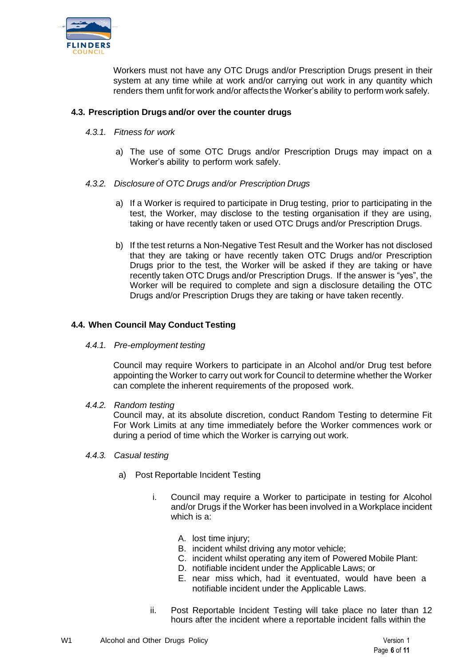

Workers must not have any OTC Drugs and/or Prescription Drugs present in their system at any time while at work and/or carrying out work in any quantity which renders them unfit forwork and/or affectsthe Worker's ability to perform work safely.

## **4.3. Prescription Drugs and/or over the counter drugs**

- *4.3.1. Fitness for work*
	- a) The use of some OTC Drugs and/or Prescription Drugs may impact on a Worker's ability to perform work safely.
- *4.3.2. Disclosure of OTC Drugs and/or Prescription Drugs*
	- a) If a Worker is required to participate in Drug testing, prior to participating in the test, the Worker, may disclose to the testing organisation if they are using, taking or have recently taken or used OTC Drugs and/or Prescription Drugs.
	- b) If the test returns a Non-Negative Test Result and the Worker has not disclosed that they are taking or have recently taken OTC Drugs and/or Prescription Drugs prior to the test, the Worker will be asked if they are taking or have recently taken OTC Drugs and/or Prescription Drugs. If the answer is "yes", the Worker will be required to complete and sign a disclosure detailing the OTC Drugs and/or Prescription Drugs they are taking or have taken recently.

### **4.4. When Council May Conduct Testing**

*4.4.1. Pre-employment testing*

Council may require Workers to participate in an Alcohol and/or Drug test before appointing the Worker to carry out work for Council to determine whether the Worker can complete the inherent requirements of the proposed work.

*4.4.2. Random testing*

Council may, at its absolute discretion, conduct Random Testing to determine Fit For Work Limits at any time immediately before the Worker commences work or during a period of time which the Worker is carrying out work.

- *4.4.3. Casual testing*
	- a) Post Reportable Incident Testing
		- i. Council may require a Worker to participate in testing for Alcohol and/or Drugs if the Worker has been involved in a Workplace incident which is a:
			- A. lost time injury;
			- B. incident whilst driving any motor vehicle;
			- C. incident whilst operating any item of Powered Mobile Plant:
			- D. notifiable incident under the Applicable Laws; or
			- E. near miss which, had it eventuated, would have been a notifiable incident under the Applicable Laws.
		- ii. Post Reportable Incident Testing will take place no later than 12 hours after the incident where a reportable incident falls within the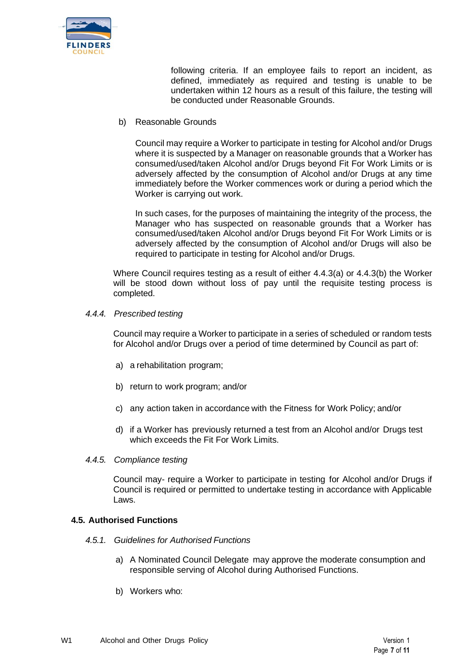

following criteria. If an employee fails to report an incident, as defined, immediately as required and testing is unable to be undertaken within 12 hours as a result of this failure, the testing will be conducted under Reasonable Grounds.

b) Reasonable Grounds

Council may require a Worker to participate in testing for Alcohol and/or Drugs where it is suspected by a Manager on reasonable grounds that a Worker has consumed/used/taken Alcohol and/or Drugs beyond Fit For Work Limits or is adversely affected by the consumption of Alcohol and/or Drugs at any time immediately before the Worker commences work or during a period which the Worker is carrying out work.

In such cases, for the purposes of maintaining the integrity of the process, the Manager who has suspected on reasonable grounds that a Worker has consumed/used/taken Alcohol and/or Drugs beyond Fit For Work Limits or is adversely affected by the consumption of Alcohol and/or Drugs will also be required to participate in testing for Alcohol and/or Drugs.

Where Council requires testing as a result of either 4.4.3(a) or 4.4.3(b) the Worker will be stood down without loss of pay until the requisite testing process is completed.

#### <span id="page-6-0"></span>*4.4.4. Prescribed testing*

Council may require a Worker to participate in a series of scheduled or random tests for Alcohol and/or Drugs over a period of time determined by Council as part of:

- a) a rehabilitation program;
- b) return to work program; and/or
- c) any action taken in accordance with the Fitness for Work Policy; and/or
- d) if a Worker has previously returned a test from an Alcohol and/or Drugs test which exceeds the Fit For Work Limits.
- *4.4.5. Compliance testing*

Council may- require a Worker to participate in testing for Alcohol and/or Drugs if Council is required or permitted to undertake testing in accordance with Applicable Laws.

#### **4.5. Authorised Functions**

- *4.5.1. Guidelines for Authorised Functions*
	- a) A Nominated Council Delegate may approve the moderate consumption and responsible serving of Alcohol during Authorised Functions.
	- b) Workers who: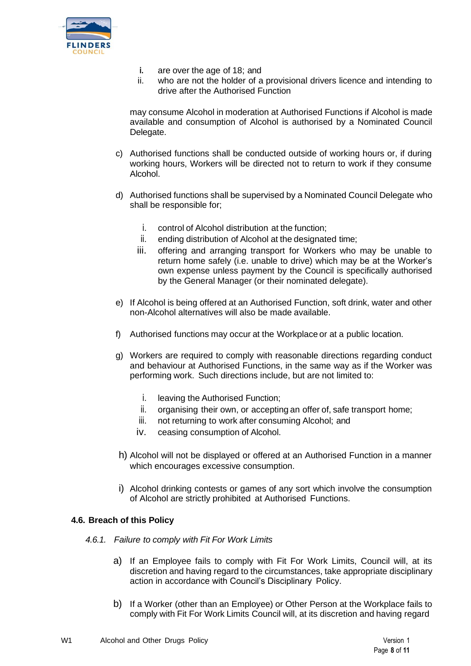

- **i.** are over the age of 18; and
- ii. who are not the holder of a provisional drivers licence and intending to drive after the Authorised Function

may consume Alcohol in moderation at Authorised Functions if Alcohol is made available and consumption of Alcohol is authorised by a Nominated Council Delegate.

- c) Authorised functions shall be conducted outside of working hours or, if during working hours, Workers will be directed not to return to work if they consume Alcohol.
- d) Authorised functions shall be supervised by a Nominated Council Delegate who shall be responsible for;
	- i. control of Alcohol distribution at the function;
	- ii. ending distribution of Alcohol at the designated time;
	- iii. offering and arranging transport for Workers who may be unable to return home safely (i.e. unable to drive) which may be at the Worker's own expense unless payment by the Council is specifically authorised by the General Manager (or their nominated delegate).
- e) If Alcohol is being offered at an Authorised Function, soft drink, water and other non-Alcohol alternatives will also be made available.
- f) Authorised functions may occur at the Workplace or at a public location.
- g) Workers are required to comply with reasonable directions regarding conduct and behaviour at Authorised Functions, in the same way as if the Worker was performing work. Such directions include, but are not limited to:
	- i. leaving the Authorised Function;
	- ii. organising their own, or accepting an offer of, safe transport home;
	- iii. not returning to work after consuming Alcohol; and
	- iv. ceasing consumption of Alcohol.
- h) Alcohol will not be displayed or offered at an Authorised Function in a manner which encourages excessive consumption.
- i) Alcohol drinking contests or games of any sort which involve the consumption of Alcohol are strictly prohibited at Authorised Functions.

### <span id="page-7-0"></span>**4.6. Breach of this Policy**

- *4.6.1. Failure to comply with Fit For Work Limits*
	- a) If an Employee fails to comply with Fit For Work Limits, Council will, at its discretion and having regard to the circumstances, take appropriate disciplinary action in accordance with Council's Disciplinary Policy.
	- b) If a Worker (other than an Employee) or Other Person at the Workplace fails to comply with Fit For Work Limits Council will, at its discretion and having regard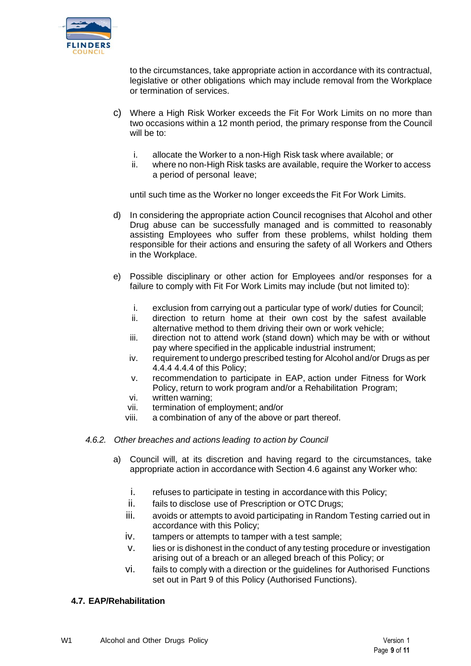

to the circumstances, take appropriate action in accordance with its contractual, legislative or other obligations which may include removal from the Workplace or termination of services.

- c) Where a High Risk Worker exceeds the Fit For Work Limits on no more than two occasions within a 12 month period, the primary response from the Council will be to:
	- i. allocate the Worker to a non-High Risk task where available; or
	- ii. where no non-High Risk tasks are available, require the Worker to access a period of personal leave;

until such time as the Worker no longer exceeds the Fit For Work Limits.

- d) In considering the appropriate action Council recognises that Alcohol and other Drug abuse can be successfully managed and is committed to reasonably assisting Employees who suffer from these problems, whilst holding them responsible for their actions and ensuring the safety of all Workers and Others in the Workplace.
- e) Possible disciplinary or other action for Employees and/or responses for a failure to comply with Fit For Work Limits may include (but not limited to):
	- i. exclusion from carrying out a particular type of work/ duties for Council;
	- ii. direction to return home at their own cost by the safest available alternative method to them driving their own or work vehicle;
	- iii. direction not to attend work (stand down) which may be with or without pay where specified in the applicable industrial instrument;
	- iv. requirement to undergo prescribed testing for Alcohol and/or Drugs as per [4.4.4](#page-6-0) 4.4.4 of this Policy;
	- v. recommendation to participate in EAP, action under Fitness for Work Policy, return to work program and/or a Rehabilitation Program;
	- vi. written warning;
	- vii. termination of employment; and/or
	- viii. a combination of any of the above or part thereof.
- *4.6.2. Other breaches and actions leading to action by Council*
	- a) Council will, at its discretion and having regard to the circumstances, take appropriate action in accordance with Section 4.6 against any Worker who:
		- i. refuses to participate in testing in accordance with this Policy;
		- ii. fails to disclose use of Prescription or OTC Drugs;
		- iii. avoids or attempts to avoid participating in Random Testing carried out in accordance with this Policy;
		- iv. tampers or attempts to tamper with a test sample;
		- v. lies or is dishonest in the conduct of any testing procedure or investigation arising out of a breach or an alleged breach of this Policy; or
		- vi. fails to comply with a direction or the guidelines for Authorised Functions set out in Part 9 of this Policy (Authorised Functions).

### **4.7. EAP/Rehabilitation**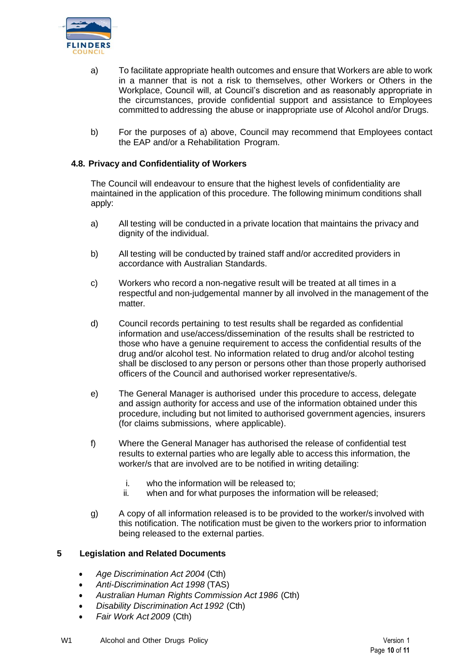

- <span id="page-9-0"></span>a) To facilitate appropriate health outcomes and ensure that Workers are able to work in a manner that is not a risk to themselves, other Workers or Others in the Workplace, Council will, at Council's discretion and as reasonably appropriate in the circumstances, provide confidential support and assistance to Employees committed to addressing the abuse or inappropriate use of Alcohol and/or Drugs.
- b) For the purposes of [a\) a](#page-9-0)bove, Council may recommend that Employees contact the EAP and/or a Rehabilitation Program.

## **4.8. Privacy and Confidentiality of Workers**

The Council will endeavour to ensure that the highest levels of confidentiality are maintained in the application of this procedure. The following minimum conditions shall apply:

- a) All testing will be conducted in a private location that maintains the privacy and dignity of the individual.
- b) All testing will be conducted by trained staff and/or accredited providers in accordance with Australian Standards.
- c) Workers who record a non-negative result will be treated at all times in a respectful and non-judgemental manner by all involved in the management of the matter.
- d) Council records pertaining to test results shall be regarded as confidential information and use/access/dissemination of the results shall be restricted to those who have a genuine requirement to access the confidential results of the drug and/or alcohol test. No information related to drug and/or alcohol testing shall be disclosed to any person or persons other than those properly authorised officers of the Council and authorised worker representative/s.
- e) The General Manager is authorised under this procedure to access, delegate and assign authority for access and use of the information obtained under this procedure, including but not limited to authorised government agencies, insurers (for claims submissions, where applicable).
- f) Where the General Manager has authorised the release of confidential test results to external parties who are legally able to access this information, the worker/s that are involved are to be notified in writing detailing:
	- i. who the information will be released to;
	- ii. when and for what purposes the information will be released;
- g) A copy of all information released is to be provided to the worker/s involved with this notification. The notification must be given to the workers prior to information being released to the external parties.

### **5 Legislation and Related Documents**

- *Age Discrimination Act 2004* (Cth)
- *Anti-Discrimination Act 1998* (TAS)
- *Australian Human Rights Commission Act 1986* (Cth)
- *Disability Discrimination Act 1992* (Cth)
- *Fair Work Act 2009* (Cth)